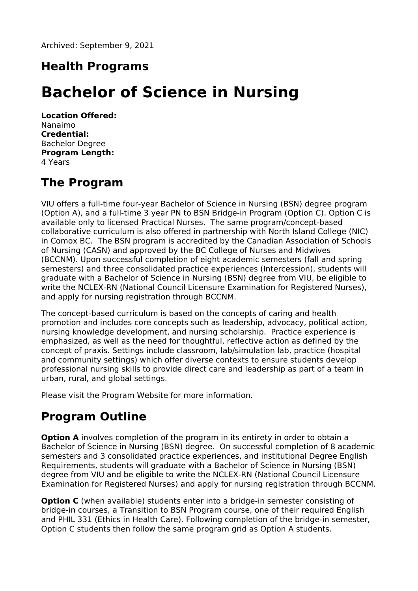## **Health Programs**

# **Bachelor of Science in Nursing**

**Location Offered:** Nanaimo **Credential:** Bachelor Degree **Program Length:** 4 Years

## **The Program**

VIU offers a full-time four-year Bachelor of Science in Nursing (BSN) degree program (Option A), and a full-time 3 year PN to BSN Bridge-in Program (Option C). Option C is available only to licensed Practical Nurses. The same program/concept-based collaborative curriculum is also offered in partnership with North Island College (NIC) in Comox BC. The BSN program is accredited by the Canadian Association of Schools of Nursing (CASN) and approved by the BC College of Nurses and Midwives (BCCNM). Upon successful completion of eight academic semesters (fall and spring semesters) and three consolidated practice experiences (Intercession), students will graduate with a Bachelor of Science in Nursing (BSN) degree from VIU, be eligible to write the NCLEX-RN (National Council Licensure Examination for Registered Nurses), and apply for nursing registration through BCCNM.

The concept-based curriculum is based on the concepts of caring and health promotion and includes core concepts such as leadership, advocacy, political action, nursing knowledge development, and nursing scholarship. Practice experience is emphasized, as well as the need for thoughtful, reflective action as defined by the concept of praxis. Settings include classroom, lab/simulation lab, practice (hospital and community settings) which offer diverse contexts to ensure students develop professional nursing skills to provide direct care and leadership as part of a team in urban, rural, and global settings.

Please visit the Program Website for more information.

## **Program Outline**

**Option A** involves completion of the program in its entirety in order to obtain a Bachelor of Science in Nursing (BSN) degree. On successful completion of 8 academic semesters and 3 consolidated practice experiences, and institutional Degree English Requirements, students will graduate with a Bachelor of Science in Nursing (BSN) degree from VIU and be eligible to write the NCLEX-RN (National Council Licensure Examination for Registered Nurses) and apply for nursing registration through BCCNM.

**Option C** (when available) students enter into a bridge-in semester consisting of bridge-in courses, a Transition to BSN Program course, one of their required English and PHIL 331 (Ethics in Health Care). Following completion of the bridge-in semester, Option C students then follow the same program grid as Option A students.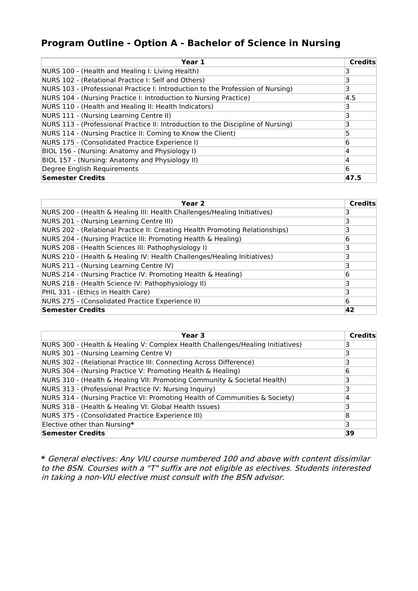## **Program Outline - Option A - Bachelor of Science in Nursing**

| Year 1                                                                           | Credits |
|----------------------------------------------------------------------------------|---------|
| NURS 100 - (Health and Healing I: Living Health)                                 |         |
| NURS 102 - (Relational Practice I: Self and Others)                              | 3       |
| NURS 103 - (Professional Practice I: Introduction to the Profession of Nursing)  | 3       |
| NURS 104 - (Nursing Practice I: Introduction to Nursing Practice)                | 4.5     |
| NURS 110 - (Health and Healing II: Health Indicators)                            |         |
| NURS 111 - (Nursing Learning Centre II)                                          | 3       |
| NURS 113 - (Professional Practice II: Introduction to the Discipline of Nursing) | ٦       |
| NURS 114 - (Nursing Practice II: Coming to Know the Client)                      |         |
| NURS 175 - (Consolidated Practice Experience I)                                  | 6       |
| BIOL 156 - (Nursing: Anatomy and Physiology I)                                   | 4       |
| BIOL 157 - (Nursing: Anatomy and Physiology II)                                  | 4       |
| Degree English Requirements                                                      | 6       |
| Semester Credits                                                                 | 47.5    |

| Year <sub>2</sub>                                                            | <b>Credits</b> |
|------------------------------------------------------------------------------|----------------|
| NURS 200 - (Health & Healing III: Health Challenges/Healing Initiatives)     |                |
| NURS 201 - (Nursing Learning Centre III)                                     |                |
| NURS 202 - (Relational Practice II: Creating Health Promoting Relationships) | 3              |
| NURS 204 - (Nursing Practice III: Promoting Health & Healing)                | 6              |
| NURS 208 - (Health Sciences III: Pathophysiology I)                          |                |
| NURS 210 - (Health & Healing IV: Health Challenges/Healing Initiatives)      | 3              |
| NURS 211 - (Nursing Learning Centre IV)                                      |                |
| NURS 214 - (Nursing Practice IV: Promoting Health & Healing)                 | 6              |
| NURS 218 - (Health Science IV: Pathophysiology II)                           |                |
| PHIL 331 - (Ethics in Health Care)                                           |                |
| NURS 275 - (Consolidated Practice Experience II)                             | 6              |
| Semester Credits                                                             | 42             |

| Year 3                                                                         | <b>Credits</b> |
|--------------------------------------------------------------------------------|----------------|
| NURS 300 - (Health & Healing V: Complex Health Challenges/Healing Initiatives) |                |
| NURS 301 - (Nursing Learning Centre V)                                         |                |
| NURS 302 - (Relational Practice III: Connecting Across Difference)             |                |
| NURS 304 - (Nursing Practice V: Promoting Health & Healing)                    | 6              |
| NURS 310 - (Health & Healing VII: Promoting Community & Societal Health)       |                |
| NURS 313 - (Professional Practice IV: Nursing Inquiry)                         |                |
| NURS 314 - (Nursing Practice VI: Promoting Health of Communities & Society)    |                |
| NURS 318 - (Health & Healing VI: Global Health Issues)                         |                |
| NURS 375 - (Consolidated Practice Experience III)                              | 8              |
| Elective other than Nursing*                                                   | 3              |
| <b>Semester Credits</b>                                                        | 39             |

**\*** General electives: Any VIU course numbered 100 and above with content dissimilar to the BSN. Courses with <sup>a</sup> "T" suffix are not eligible as electives. Students interested in taking <sup>a</sup> non-VIU elective must consult with the BSN advisor.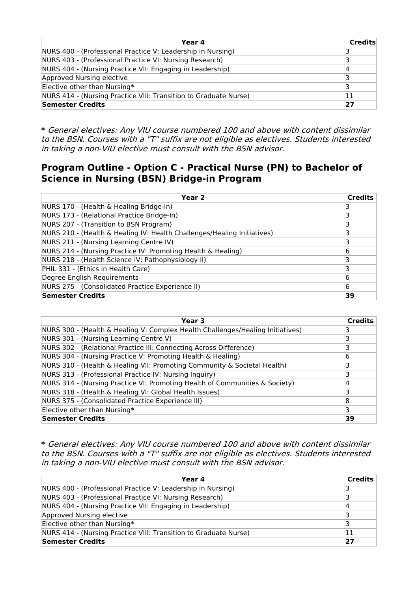| Year 4                                                           | Credits |
|------------------------------------------------------------------|---------|
| NURS 400 - (Professional Practice V: Leadership in Nursing)      |         |
| NURS 403 - (Professional Practice VI: Nursing Research)          |         |
| NURS 404 - (Nursing Practice VII: Engaging in Leadership)        |         |
| Approved Nursing elective                                        |         |
| Elective other than Nursing*                                     | 3       |
| NURS 414 - (Nursing Practice VIII: Transition to Graduate Nurse) | 11      |
| Semester Credits                                                 | 27      |

**\*** General electives: Any VIU course numbered 100 and above with content dissimilar to the BSN. Courses with <sup>a</sup> "T" suffix are not eligible as electives. Students interested in taking <sup>a</sup> non-VIU elective must consult with the BSN advisor.

### **Program Outline - Option C - Practical Nurse (PN) to Bachelor of Science in Nursing (BSN) Bridge-in Program**

| Year 2                                                                  | <b>Credits</b> |
|-------------------------------------------------------------------------|----------------|
| NURS 170 - (Health & Healing Bridge-In)                                 |                |
| NURS 173 - (Relational Practice Bridge-In)                              |                |
| NURS 207 - (Transition to BSN Program)                                  |                |
| NURS 210 - (Health & Healing IV: Health Challenges/Healing Initiatives) |                |
| NURS 211 - (Nursing Learning Centre IV)                                 | ٦              |
| NURS 214 - (Nursing Practice IV: Promoting Health & Healing)            | 6              |
| NURS 218 - (Health Science IV: Pathophysiology II)                      |                |
| PHIL 331 - (Ethics in Health Care)                                      |                |
| Degree English Requirements                                             | 6              |
| NURS 275 - (Consolidated Practice Experience II)                        | 6              |
| <b>Semester Credits</b>                                                 | 39             |

| Year 3                                                                         | <b>Credits</b> |
|--------------------------------------------------------------------------------|----------------|
| NURS 300 - (Health & Healing V: Complex Health Challenges/Healing Initiatives) |                |
| NURS 301 - (Nursing Learning Centre V)                                         |                |
| NURS 302 - (Relational Practice III: Connecting Across Difference)             |                |
| NURS 304 - (Nursing Practice V: Promoting Health & Healing)                    | 6              |
| NURS 310 - (Health & Healing VII: Promoting Community & Societal Health)       |                |
| NURS 313 - (Professional Practice IV: Nursing Inquiry)                         |                |
| NURS 314 - (Nursing Practice VI: Promoting Health of Communities & Society)    | 4              |
| NURS 318 - (Health & Healing VI: Global Health Issues)                         | ٦              |
| NURS 375 - (Consolidated Practice Experience III)                              | 8              |
| Elective other than Nursing*                                                   | 3              |
| <b>Semester Credits</b>                                                        | 39             |

**\*** General electives: Any VIU course numbered 100 and above with content dissimilar to the BSN. Courses with <sup>a</sup> "T" suffix are not eligible as electives. Students interested in taking <sup>a</sup> non-VIU elective must consult with the BSN advisor.

| Year 4                                                           | <b>Credits</b> |
|------------------------------------------------------------------|----------------|
| NURS 400 - (Professional Practice V: Leadership in Nursing)      | 3              |
| NURS 403 - (Professional Practice VI: Nursing Research)          | 3              |
| NURS 404 - (Nursing Practice VII: Engaging in Leadership)        | 14             |
| Approved Nursing elective                                        | 3              |
| Elective other than Nursing*                                     | 3              |
| NURS 414 - (Nursing Practice VIII: Transition to Graduate Nurse) | 11             |
| Semester Credits                                                 | 27             |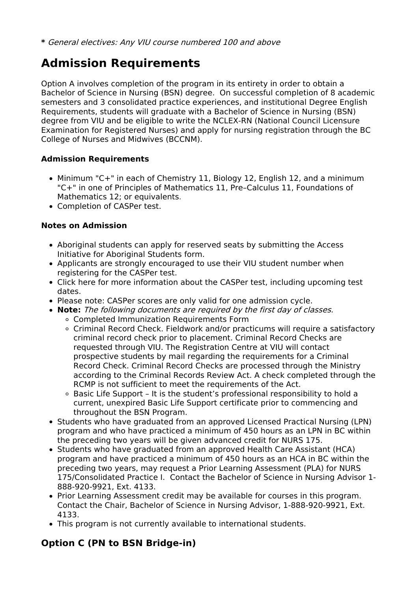## **Admission Requirements**

Option A involves completion of the program in its entirety in order to obtain a Bachelor of Science in Nursing (BSN) degree. On successful completion of 8 academic semesters and 3 consolidated practice experiences, and institutional Degree English Requirements, students will graduate with a Bachelor of Science in Nursing (BSN) degree from VIU and be eligible to write the NCLEX-RN (National Council Licensure Examination for Registered Nurses) and apply for nursing registration through the BC College of Nurses and Midwives (BCCNM).

#### **Admission Requirements**

- Minimum "C+" in each of Chemistry 11, Biology 12, English 12, and a minimum "C+" in one of Principles of Mathematics 11, Pre–Calculus 11, Foundations of Mathematics 12; or equivalents.
- Completion of CASPer test.

### **Notes on Admission**

- Aboriginal students can apply for reserved seats by submitting the Access Initiative for Aboriginal Students form.
- Applicants are strongly encouraged to use their VIU student number when registering for the CASPer test.
- Click here for more information about the CASPer test, including upcoming test dates.
- Please note: CASPer scores are only valid for one admission cycle.
- **Note:** The following documents are required by the first day of classes.
	- Completed Immunization Requirements Form
	- Criminal Record Check. Fieldwork and/or practicums will require a satisfactory criminal record check prior to placement. Criminal Record Checks are requested through VIU. The Registration Centre at VIU will contact prospective students by mail regarding the requirements for a Criminal Record Check. Criminal Record Checks are processed through the Ministry according to the Criminal Records Review Act. A check completed through the RCMP is not sufficient to meet the requirements of the Act.
	- Basic Life Support It is the student's professional responsibility to hold a current, unexpired Basic Life Support certificate prior to commencing and throughout the BSN Program.
- Students who have graduated from an approved Licensed Practical Nursing (LPN) program and who have practiced a minimum of 450 hours as an LPN in BC within the preceding two years will be given advanced credit for NURS 175.
- Students who have graduated from an approved Health Care Assistant (HCA) program and have practiced a minimum of 450 hours as an HCA in BC within the preceding two years, may request a Prior Learning Assessment (PLA) for NURS 175/Consolidated Practice I. Contact the Bachelor of Science in Nursing Advisor 1- 888-920-9921, Ext. 4133.
- Prior Learning Assessment credit may be available for courses in this program. Contact the Chair, Bachelor of Science in Nursing Advisor, 1-888-920-9921, Ext. 4133.
- This program is not currently available to international students.

## **Option C (PN to BSN Bridge-in)**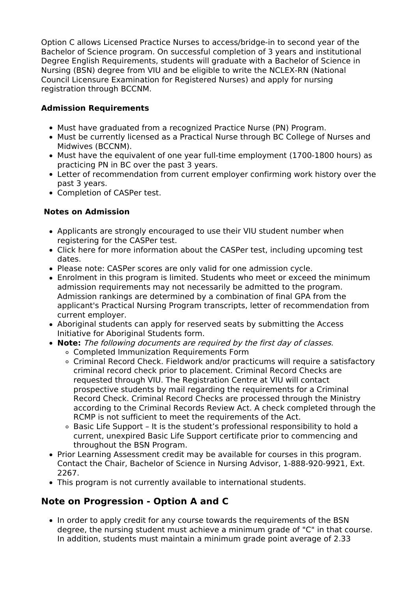Option C allows Licensed Practice Nurses to access/bridge-in to second year of the Bachelor of Science program. On successful completion of 3 years and institutional Degree English Requirements, students will graduate with a Bachelor of Science in Nursing (BSN) degree from VIU and be eligible to write the NCLEX-RN (National Council Licensure Examination for Registered Nurses) and apply for nursing registration through BCCNM.

#### **Admission Requirements**

- Must have graduated from a recognized Practice Nurse (PN) Program.
- Must be currently licensed as a Practical Nurse through BC College of Nurses and Midwives (BCCNM).
- Must have the equivalent of one year full-time employment (1700-1800 hours) as practicing PN in BC over the past 3 years.
- Letter of recommendation from current employer confirming work history over the past 3 years.
- Completion of CASPer test.

### **Notes on Admission**

- Applicants are strongly encouraged to use their VIU student number when registering for the CASPer test.
- Click here for more information about the CASPer test, including upcoming test dates.
- Please note: CASPer scores are only valid for one admission cycle.
- Enrolment in this program is limited. Students who meet or exceed the minimum admission requirements may not necessarily be admitted to the program. Admission rankings are determined by a combination of final GPA from the applicant's Practical Nursing Program transcripts, letter of recommendation from current employer.
- Aboriginal students can apply for reserved seats by submitting the Access Initiative for Aboriginal Students form.
- **Note:** The following documents are required by the first day of classes.
	- Completed Immunization Requirements Form
		- Criminal Record Check. Fieldwork and/or practicums will require a satisfactory criminal record check prior to placement. Criminal Record Checks are requested through VIU. The Registration Centre at VIU will contact prospective students by mail regarding the requirements for a Criminal Record Check. Criminal Record Checks are processed through the Ministry according to the Criminal Records Review Act. A check completed through the RCMP is not sufficient to meet the requirements of the Act.
	- Basic Life Support It is the student's professional responsibility to hold a current, unexpired Basic Life Support certificate prior to commencing and throughout the BSN Program.
- Prior Learning Assessment credit may be available for courses in this program. Contact the Chair, Bachelor of Science in Nursing Advisor, 1-888-920-9921, Ext. 2267.
- This program is not currently available to international students.

## **Note on Progression - Option A and C**

• In order to apply credit for any course towards the requirements of the BSN degree, the nursing student must achieve a minimum grade of "C" in that course. In addition, students must maintain a minimum grade point average of 2.33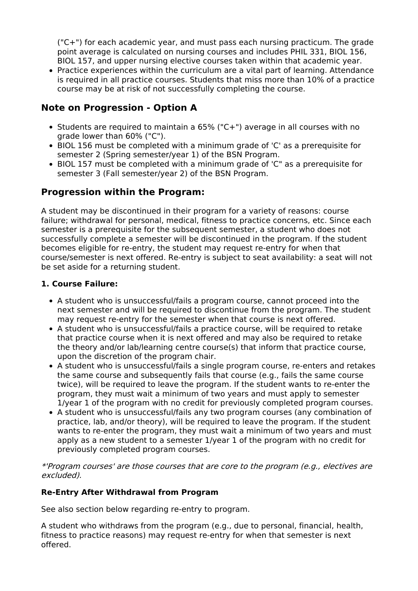("C+") for each academic year, and must pass each nursing practicum. The grade point average is calculated on nursing courses and includes PHIL 331, BIOL 156, BIOL 157, and upper nursing elective courses taken within that academic year.

Practice experiences within the curriculum are a vital part of learning. Attendance is required in all practice courses. Students that miss more than 10% of a practice course may be at risk of not successfully completing the course.

## **Note on Progression - Option A**

- Students are required to maintain a 65% ("C+") average in all courses with no grade lower than 60% ("C").
- BIOL 156 must be completed with a minimum grade of 'C' as a prerequisite for semester 2 (Spring semester/year 1) of the BSN Program.
- BIOL 157 must be completed with a minimum grade of 'C" as a prerequisite for semester 3 (Fall semester/year 2) of the BSN Program.

## **Progression within the Program:**

A student may be discontinued in their program for a variety of reasons: course failure; withdrawal for personal, medical, fitness to practice concerns, etc. Since each semester is a prerequisite for the subsequent semester, a student who does not successfully complete a semester will be discontinued in the program. If the student becomes eligible for re-entry, the student may request re-entry for when that course/semester is next offered. Re-entry is subject to seat availability: a seat will not be set aside for a returning student.

#### **1. Course Failure:**

- A student who is unsuccessful/fails a program course, cannot proceed into the next semester and will be required to discontinue from the program. The student may request re-entry for the semester when that course is next offered.
- A student who is unsuccessful/fails a practice course, will be required to retake that practice course when it is next offered and may also be required to retake the theory and/or lab/learning centre course(s) that inform that practice course, upon the discretion of the program chair.
- A student who is unsuccessful/fails a single program course, re-enters and retakes the same course and subsequently fails that course (e.g., fails the same course twice), will be required to leave the program. If the student wants to re-enter the program, they must wait a minimum of two years and must apply to semester 1/year 1 of the program with no credit for previously completed program courses.
- A student who is unsuccessful/fails any two program courses (any combination of practice, lab, and/or theory), will be required to leave the program. If the student wants to re-enter the program, they must wait a minimum of two years and must apply as a new student to a semester 1/year 1 of the program with no credit for previously completed program courses.

\*'Program courses' are those courses that are core to the program (e.g., electives are excluded).

#### **Re-Entry After Withdrawal from Program**

See also section below regarding re-entry to program.

A student who withdraws from the program (e.g., due to personal, financial, health, fitness to practice reasons) may request re-entry for when that semester is next offered.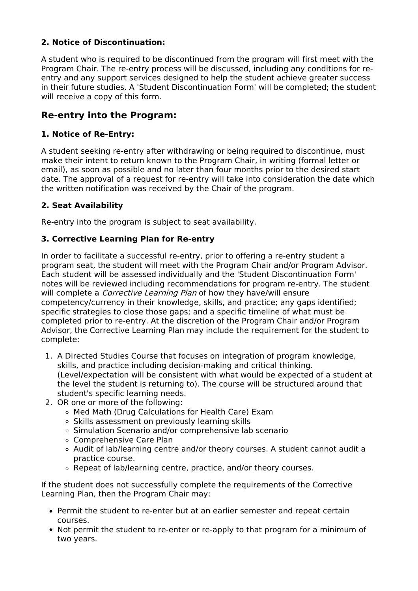### **2. Notice of Discontinuation:**

A student who is required to be discontinued from the program will first meet with the Program Chair. The re-entry process will be discussed, including any conditions for reentry and any support services designed to help the student achieve greater success in their future studies. A 'Student Discontinuation Form' will be completed; the student will receive a copy of this form.

### **Re-entry into the Program:**

#### **1. Notice of Re-Entry:**

A student seeking re-entry after withdrawing or being required to discontinue, must make their intent to return known to the Program Chair, in writing (formal letter or email), as soon as possible and no later than four months prior to the desired start date. The approval of a request for re-entry will take into consideration the date which the written notification was received by the Chair of the program.

#### **2. Seat Availability**

Re-entry into the program is subject to seat availability.

#### **3. Corrective Learning Plan for Re-entry**

In order to facilitate a successful re-entry, prior to offering a re-entry student a program seat, the student will meet with the Program Chair and/or Program Advisor. Each student will be assessed individually and the 'Student Discontinuation Form' notes will be reviewed including recommendations for program re-entry. The student will complete a *Corrective Learning Plan* of how they have/will ensure competency/currency in their knowledge, skills, and practice; any gaps identified; specific strategies to close those gaps; and a specific timeline of what must be completed prior to re-entry. At the discretion of the Program Chair and/or Program Advisor, the Corrective Learning Plan may include the requirement for the student to complete:

- 1. A Directed Studies Course that focuses on integration of program knowledge, skills, and practice including decision-making and critical thinking. (Level/expectation will be consistent with what would be expected of a student at the level the student is returning to). The course will be structured around that student's specific learning needs.
- 2. OR one or more of the following:
	- Med Math (Drug Calculations for Health Care) Exam
	- Skills assessment on previously learning skills
	- o Simulation Scenario and/or comprehensive lab scenario
	- Comprehensive Care Plan
	- Audit of lab/learning centre and/or theory courses. A student cannot audit a practice course.
	- Repeat of lab/learning centre, practice, and/or theory courses.

If the student does not successfully complete the requirements of the Corrective Learning Plan, then the Program Chair may:

- Permit the student to re-enter but at an earlier semester and repeat certain courses.
- Not permit the student to re-enter or re-apply to that program for a minimum of two years.